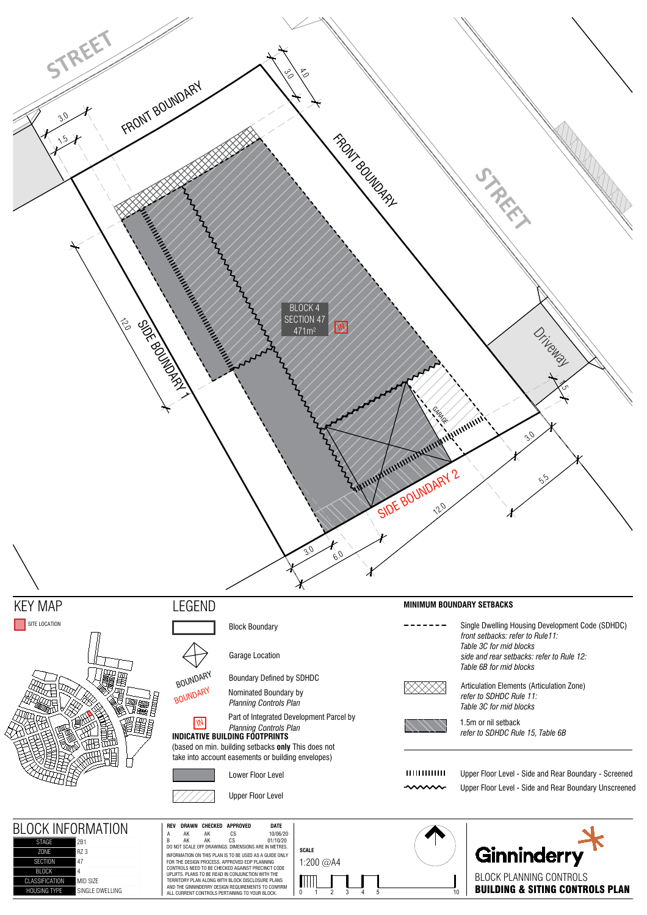